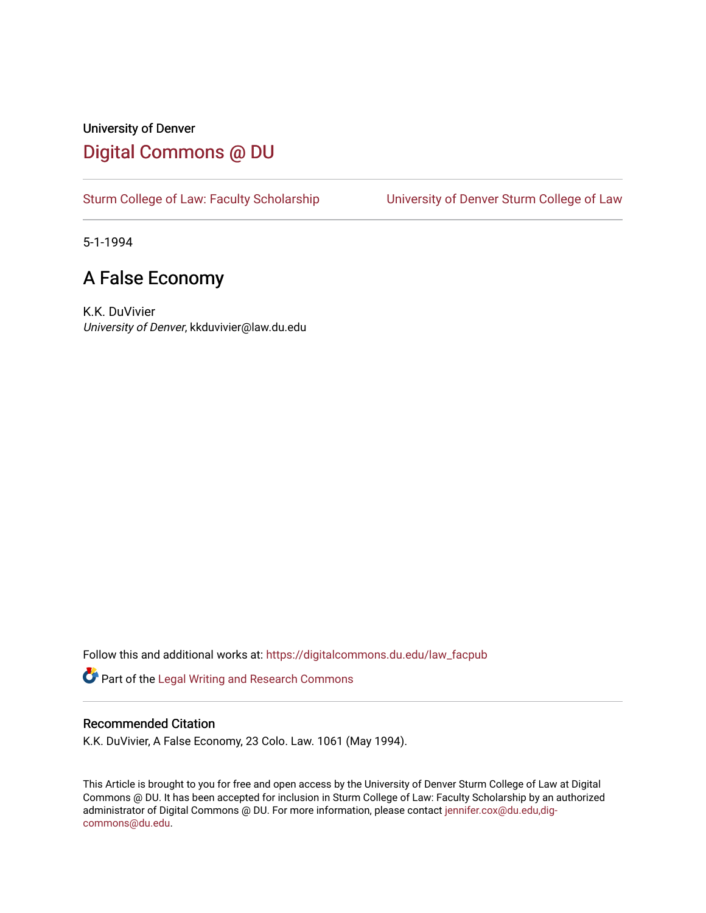## University of Denver [Digital Commons @ DU](https://digitalcommons.du.edu/)

[Sturm College of Law: Faculty Scholarship](https://digitalcommons.du.edu/law_facpub) [University of Denver Sturm College of Law](https://digitalcommons.du.edu/denver_law) 

5-1-1994

# A False Economy

K.K. DuVivier University of Denver, kkduvivier@law.du.edu

Follow this and additional works at: [https://digitalcommons.du.edu/law\\_facpub](https://digitalcommons.du.edu/law_facpub?utm_source=digitalcommons.du.edu%2Flaw_facpub%2F351&utm_medium=PDF&utm_campaign=PDFCoverPages) 

Part of the [Legal Writing and Research Commons](http://network.bepress.com/hgg/discipline/614?utm_source=digitalcommons.du.edu%2Flaw_facpub%2F351&utm_medium=PDF&utm_campaign=PDFCoverPages) 

#### Recommended Citation

K.K. DuVivier, A False Economy, 23 Colo. Law. 1061 (May 1994).

This Article is brought to you for free and open access by the University of Denver Sturm College of Law at Digital Commons @ DU. It has been accepted for inclusion in Sturm College of Law: Faculty Scholarship by an authorized administrator of Digital Commons @ DU. For more information, please contact [jennifer.cox@du.edu,dig](mailto:jennifer.cox@du.edu,dig-commons@du.edu)[commons@du.edu.](mailto:jennifer.cox@du.edu,dig-commons@du.edu)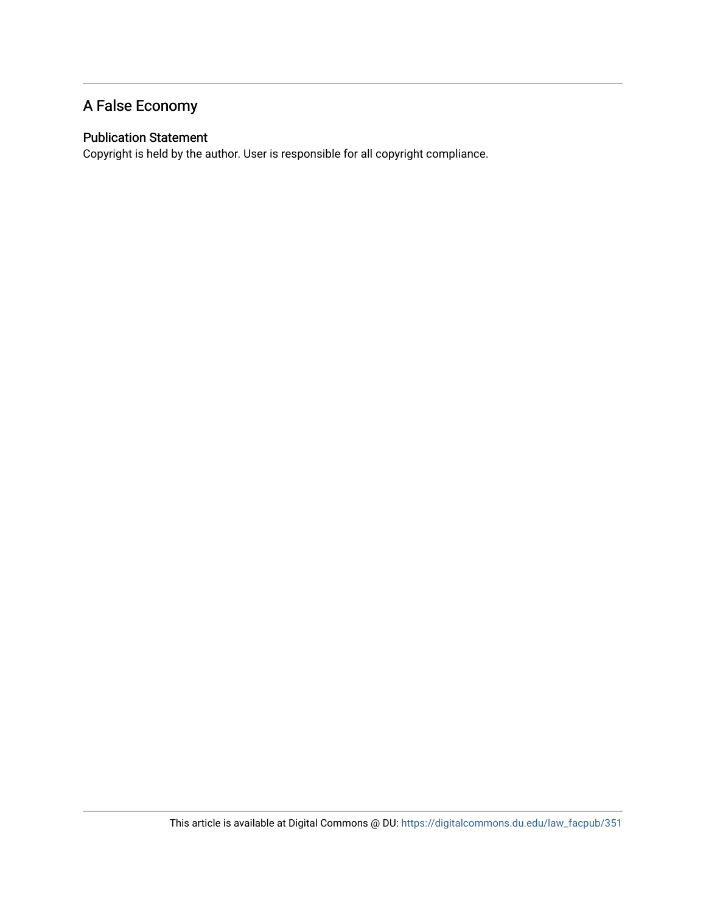### A False Economy

#### Publication Statement

Copyright is held by the author. User is responsible for all copyright compliance.